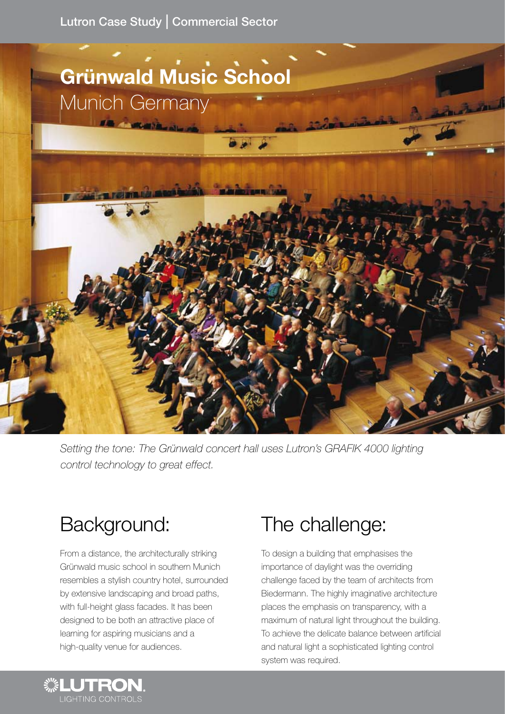Lutron Case Study | Commercial Sector



Setting the tone: The Grünwald concert hall uses Lutron's GRAFIK 4000 lighting *control technology to great effect.*

# Background:

From a distance, the architecturally striking Grünwald music school in southern Munich resembles a stylish country hotel, surrounded by extensive landscaping and broad paths, with full-height glass facades. It has been designed to be both an attractive place of learning for aspiring musicians and a high-quality venue for audiences.

## The challenge:

To design a building that emphasises the importance of daylight was the overriding challenge faced by the team of architects from Biedermann. The highly imaginative architecture places the emphasis on transparency, with a maximum of natural light throughout the building. To achieve the delicate balance between artificial and natural light a sophisticated lighting control system was required.